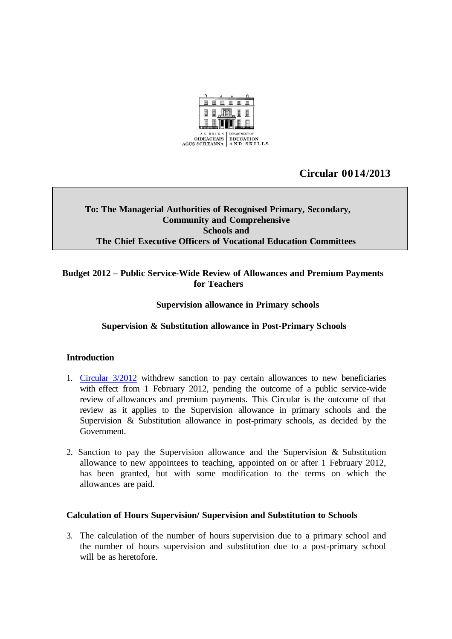

## **Circular 0014/2013**

### **To: The Managerial Authorities of Recognised Primary, Secondary, Community and Comprehensive Schools and The Chief Executive Officers of Vocational Education Committees**

#### **Budget 2012 – Public Service-Wide Review of Allowances and Premium Payments for Teachers**

#### **Supervision allowance in Primary schools**

#### **Supervision & Substitution allowance in Post-Primary Schools**

#### **Introduction**

- 1. [Circular](http://www.education.ie/en/Circulars-and-Forms/Archived-Circulars/cl0003_2012.pdf) 3/2012 withdrew sanction to pay certain allowances to new beneficiaries with effect from 1 February 2012, pending the outcome of a public service-wide review of allowances and premium payments. This Circular is the outcome of that review as it applies to the Supervision allowance in primary schools and the Supervision & Substitution allowance in post-primary schools, as decided by the Government.
- 2. Sanction to pay the Supervision allowance and the Supervision & Substitution allowance to new appointees to teaching, appointed on or after 1 February 2012, has been granted, but with some modification to the terms on which the allowances are paid.

#### **Calculation of Hours Supervision/ Supervision and Substitution to Schools**

3. The calculation of the number of hours supervision due to a primary school and the number of hours supervision and substitution due to a post-primary school will be as heretofore.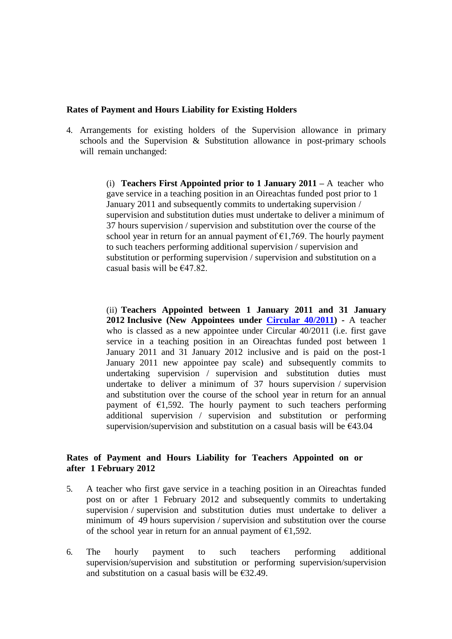#### **Rates of Payment and Hours Liability for Existing Holders**

4. Arrangements for existing holders of the Supervision allowance in primary schools and the Supervision & Substitution allowance in post-primary schools will remain unchanged:

> (i) **Teachers First Appointed prior to 1 January 2011 –** A teacher who gave service in a teaching position in an Oireachtas funded post prior to 1 January 2011 and subsequently commits to undertaking supervision / supervision and substitution duties must undertake to deliver a minimum of 37 hours supervision / supervision and substitution over the course of the school year in return for an annual payment of  $\epsilon$ 1,769. The hourly payment to such teachers performing additional supervision / supervision and substitution or performing supervision / supervision and substitution on a casual basis will be  $€47.82$ .

> (ii) **Teachers Appointed between 1 January 2011 and 31 January 2012 Inclusive (New Appointees under [Circular](http://www.education.ie/en/Circulars-and-Forms/Active-Circulars/cl0040_2011.pdf) 40/2011) -** A teacher who is classed as a new appointee under Circular 40/2011 (i.e. first gave service in a teaching position in an Oireachtas funded post between 1 January 2011 and 31 January 2012 inclusive and is paid on the post-1 January 2011 new appointee pay scale) and subsequently commits to undertaking supervision / supervision and substitution duties must undertake to deliver a minimum of 37 hours supervision / supervision and substitution over the course of the school year in return for an annual payment of  $\epsilon$ 1,592. The hourly payment to such teachers performing additional supervision / supervision and substitution or performing supervision/supervision and substitution on a casual basis will be  $E$ 43.04

#### **Rates of Payment and Hours Liability for Teachers Appointed on or after 1 February 2012**

- 5. A teacher who first gave service in a teaching position in an Oireachtas funded post on or after 1 February 2012 and subsequently commits to undertaking supervision / supervision and substitution duties must undertake to deliver a minimum of 49 hours supervision / supervision and substitution over the course of the school year in return for an annual payment of  $\epsilon$ 1,592.
- 6. The hourly payment to such teachers performing additional supervision/supervision and substitution or performing supervision/supervision and substitution on a casual basis will be  $\epsilon$ 32.49.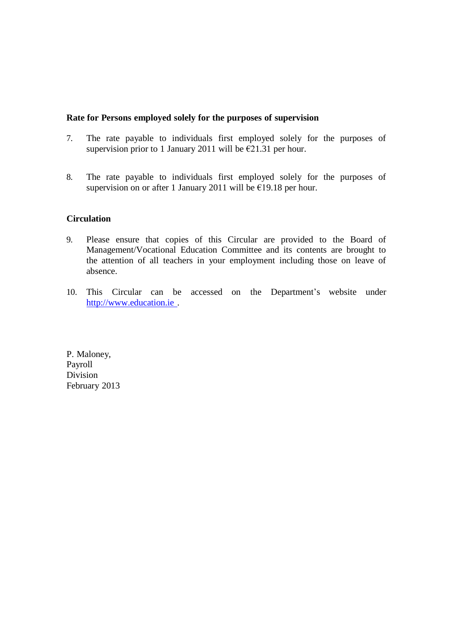#### **Rate for Persons employed solely for the purposes of supervision**

- 7. The rate payable to individuals first employed solely for the purposes of supervision prior to 1 January 2011 will be  $\epsilon$ 21.31 per hour.
- 8. The rate payable to individuals first employed solely for the purposes of supervision on or after 1 January 2011 will be  $E$ 19.18 per hour.

#### **Circulation**

- 9. Please ensure that copies of this Circular are provided to the Board of Management/Vocational Education Committee and its contents are brought to the attention of all teachers in your employment including those on leave of absence.
- 10. This Circular can be accessed on the Department's website under [http://www.education.ie](http://www.education.ie/) .

P. Maloney, Payroll Division February 2013